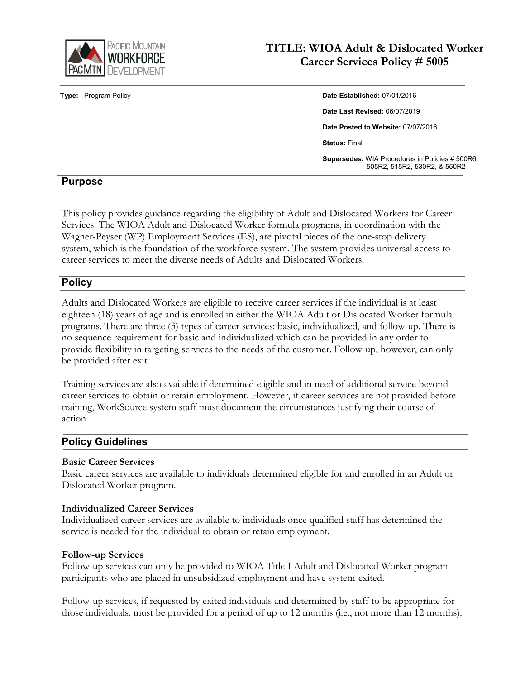

# **TITLE: WIOA Adult & Dislocated Worker Career Services Policy # 5005**

**Type:** Program Policy **Date Established:** 07/01/2016 **Date Last Revised:** 06/07/2019 **Date Posted to Website:** 07/07/2016 **Status:** Final **Supersedes:** WIA Procedures in Policies # 500R6, 505R2, 515R2, 530R2, & 550R2

# **Purpose**

This policy provides guidance regarding the eligibility of Adult and Dislocated Workers for Career Services. The WIOA Adult and Dislocated Worker formula programs, in coordination with the Wagner-Peyser (WP) Employment Services (ES), are pivotal pieces of the one-stop delivery system, which is the foundation of the workforce system. The system provides universal access to career services to meet the diverse needs of Adults and Dislocated Workers.

# **Policy**

Adults and Dislocated Workers are eligible to receive career services if the individual is at least eighteen (18) years of age and is enrolled in either the WIOA Adult or Dislocated Worker formula programs. There are three (3) types of career services: basic, individualized, and follow-up. There is no sequence requirement for basic and individualized which can be provided in any order to provide flexibility in targeting services to the needs of the customer. Follow-up, however, can only be provided after exit.

Training services are also available if determined eligible and in need of additional service beyond career services to obtain or retain employment. However, if career services are not provided before training, WorkSource system staff must document the circumstances justifying their course of action.

# **Policy Guidelines**

## **Basic Career Services**

Basic career services are available to individuals determined eligible for and enrolled in an Adult or Dislocated Worker program.

### **Individualized Career Services**

Individualized career services are available to individuals once qualified staff has determined the service is needed for the individual to obtain or retain employment.

### **Follow-up Services**

Follow-up services can only be provided to WIOA Title I Adult and Dislocated Worker program participants who are placed in unsubsidized employment and have system-exited.

Follow-up services, if requested by exited individuals and determined by staff to be appropriate for those individuals, must be provided for a period of up to 12 months (i.e., not more than 12 months).